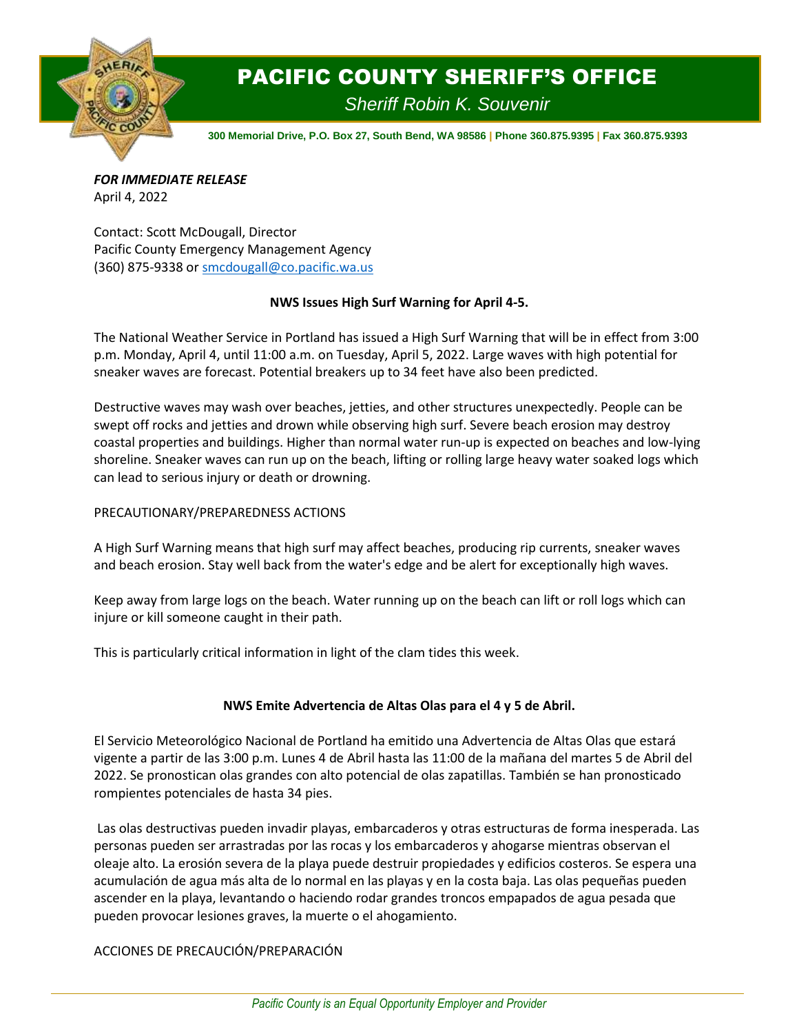

## PACIFIC COUNTY SHERIFF'S OFFICE

*Sheriff Robin K. Souvenir*

**300 Memorial Drive, P.O. Box 27, South Bend, WA 98586 | Phone 360.875.9395 | Fax 360.875.9393**

*FOR IMMEDIATE RELEASE* April 4, 2022

Contact: Scott McDougall, Director Pacific County Emergency Management Agency (360) 875-9338 or [smcdougall@co.pacific.wa.us](mailto:smcdougall@co.pacific.wa.us)

## **NWS Issues High Surf Warning for April 4-5.**

The National Weather Service in Portland has issued a High Surf Warning that will be in effect from 3:00 p.m. Monday, April 4, until 11:00 a.m. on Tuesday, April 5, 2022. Large waves with high potential for sneaker waves are forecast. Potential breakers up to 34 feet have also been predicted.

Destructive waves may wash over beaches, jetties, and other structures unexpectedly. People can be swept off rocks and jetties and drown while observing high surf. Severe beach erosion may destroy coastal properties and buildings. Higher than normal water run-up is expected on beaches and low-lying shoreline. Sneaker waves can run up on the beach, lifting or rolling large heavy water soaked logs which can lead to serious injury or death or drowning.

## PRECAUTIONARY/PREPAREDNESS ACTIONS

A High Surf Warning means that high surf may affect beaches, producing rip currents, sneaker waves and beach erosion. Stay well back from the water's edge and be alert for exceptionally high waves.

Keep away from large logs on the beach. Water running up on the beach can lift or roll logs which can injure or kill someone caught in their path.

This is particularly critical information in light of the clam tides this week.

## **NWS Emite Advertencia de Altas Olas para el 4 y 5 de Abril.**

El Servicio Meteorológico Nacional de Portland ha emitido una Advertencia de Altas Olas que estará vigente a partir de las 3:00 p.m. Lunes 4 de Abril hasta las 11:00 de la mañana del martes 5 de Abril del 2022. Se pronostican olas grandes con alto potencial de olas zapatillas. También se han pronosticado rompientes potenciales de hasta 34 pies.

Las olas destructivas pueden invadir playas, embarcaderos y otras estructuras de forma inesperada. Las personas pueden ser arrastradas por las rocas y los embarcaderos y ahogarse mientras observan el oleaje alto. La erosión severa de la playa puede destruir propiedades y edificios costeros. Se espera una acumulación de agua más alta de lo normal en las playas y en la costa baja. Las olas pequeñas pueden ascender en la playa, levantando o haciendo rodar grandes troncos empapados de agua pesada que pueden provocar lesiones graves, la muerte o el ahogamiento.

ACCIONES DE PRECAUCIÓN/PREPARACIÓN